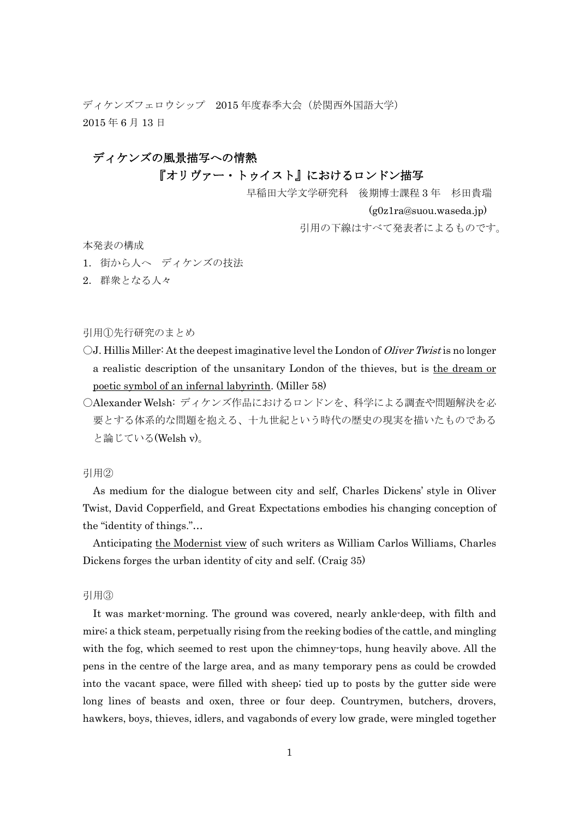ディケンズフェロウシップ 2015 年度春季大会(於関西外国語大学) 2015 年 6 月 13 日

## ディケンズの風景描写への情熱

# 『オリヴァー・トゥイスト』におけるロンドン描写

早稲田大学文学研究科 後期博士課程 3 年 杉田貴瑞

(g0z1ra@suou.waseda.jp)

引用の下線はすべて発表者によるものです。

本発表の構成

- 1.街から人へ ディケンズの技法
- 2.群衆となる人々

引用①先行研究のまとめ

- $\bigcirc$ J. Hillis Miller: At the deepest imaginative level the London of *Oliver Twist* is no longer a realistic description of the unsanitary London of the thieves, but is the dream or poetic symbol of an infernal labyrinth. (Miller 58)
- 〇Alexander Welsh: ディケンズ作品におけるロンドンを、科学による調査や問題解決を必 要とする体系的な問題を抱える、十九世紀という時代の歴史の現実を描いたものである と論じている(Welsh v)。

引用②

As medium for the dialogue between city and self, Charles Dickens' style in Oliver Twist, David Copperfield, and Great Expectations embodies his changing conception of the "identity of things."…

Anticipating the Modernist view of such writers as William Carlos Williams, Charles Dickens forges the urban identity of city and self. (Craig 35)

引用③

It was market-morning. The ground was covered, nearly ankle-deep, with filth and mire; a thick steam, perpetually rising from the reeking bodies of the cattle, and mingling with the fog, which seemed to rest upon the chimney-tops, hung heavily above. All the pens in the centre of the large area, and as many temporary pens as could be crowded into the vacant space, were filled with sheep; tied up to posts by the gutter side were long lines of beasts and oxen, three or four deep. Countrymen, butchers, drovers, hawkers, boys, thieves, idlers, and vagabonds of every low grade, were mingled together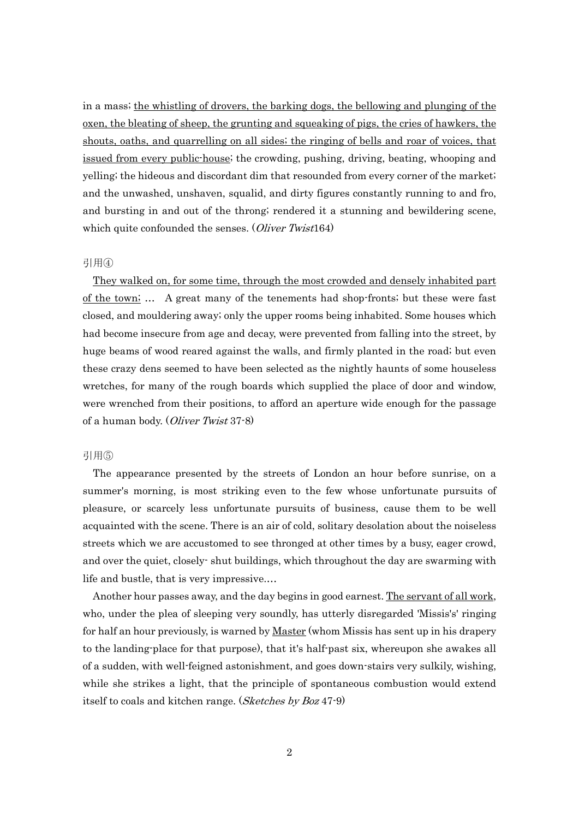in a mass; the whistling of drovers, the barking dogs, the bellowing and plunging of the oxen, the bleating of sheep, the grunting and squeaking of pigs, the cries of hawkers, the shouts, oaths, and quarrelling on all sides; the ringing of bells and roar of voices, that issued from every public-house; the crowding, pushing, driving, beating, whooping and yelling; the hideous and discordant dim that resounded from every corner of the market; and the unwashed, unshaven, squalid, and dirty figures constantly running to and fro, and bursting in and out of the throng; rendered it a stunning and bewildering scene, which quite confounded the senses. (Oliver Twist164)

#### 引用④

They walked on, for some time, through the most crowded and densely inhabited part of the town; … A great many of the tenements had shop-fronts; but these were fast closed, and mouldering away; only the upper rooms being inhabited. Some houses which had become insecure from age and decay, were prevented from falling into the street, by huge beams of wood reared against the walls, and firmly planted in the road; but even these crazy dens seemed to have been selected as the nightly haunts of some houseless wretches, for many of the rough boards which supplied the place of door and window, were wrenched from their positions, to afford an aperture wide enough for the passage of a human body. (Oliver Twist 37-8)

### 引用⑤

The appearance presented by the streets of London an hour before sunrise, on a summer's morning, is most striking even to the few whose unfortunate pursuits of pleasure, or scarcely less unfortunate pursuits of business, cause them to be well acquainted with the scene. There is an air of cold, solitary desolation about the noiseless streets which we are accustomed to see thronged at other times by a busy, eager crowd, and over the quiet, closely- shut buildings, which throughout the day are swarming with life and bustle, that is very impressive.…

Another hour passes away, and the day begins in good earnest. The servant of all work, who, under the plea of sleeping very soundly, has utterly disregarded 'Missis's' ringing for half an hour previously, is warned by <u>Master</u> (whom Missis has sent up in his drapery to the landing-place for that purpose), that it's half-past six, whereupon she awakes all of a sudden, with well-feigned astonishment, and goes down-stairs very sulkily, wishing, while she strikes a light, that the principle of spontaneous combustion would extend itself to coals and kitchen range. (Sketches by Boz 47-9)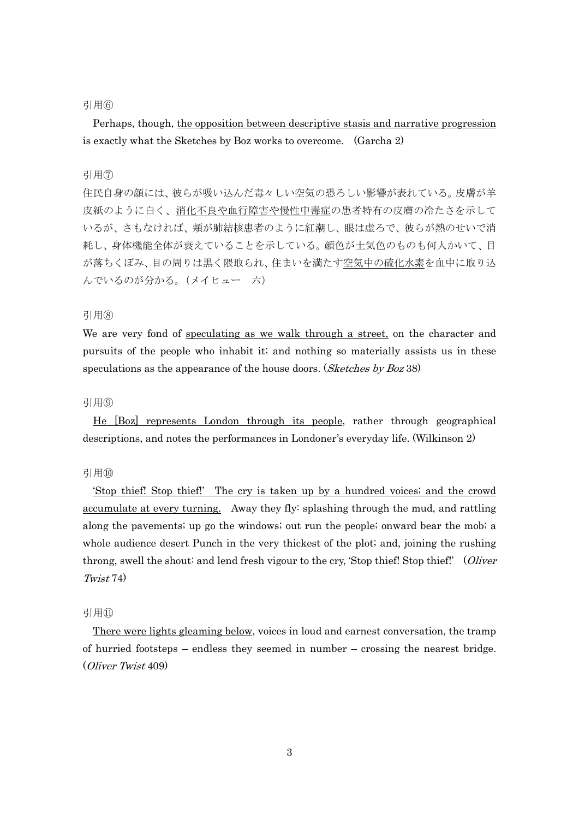### 引用⑥

 Perhaps, though, the opposition between descriptive stasis and narrative progression is exactly what the Sketches by Boz works to overcome. (Garcha 2)

## 引用⑦

住民自身の顔には、彼らが吸い込んだ毒々しい空気の恐ろしい影響が表れている。皮膚が羊 皮紙のように白く、消化不良や血行障害や慢性中毒症の患者特有の皮膚の冷たさを示して いるが、さもなければ、頬が肺結核患者のように紅潮し、眼は虚ろで、彼らが熱のせいで消 耗し、身体機能全体が衰えていることを示している。顔色が土気色のものも何人かいて、目 が落ちくぼみ、目の周りは黒く隈取られ、住まいを満たす空気中の硫化水素を血中に取り込 んでいるのが分かる。(メイヒュー 六)

## 引用(8)

We are very fond of speculating as we walk through a street, on the character and pursuits of the people who inhabit it; and nothing so materially assists us in these speculations as the appearance of the house doors. (Sketches by Boz 38)

### 引用⑨

He [Boz] represents London through its people, rather through geographical descriptions, and notes the performances in Londoner's everyday life. (Wilkinson 2)

### 引用⑩

'Stop thief! Stop thief!' The cry is taken up by a hundred voices; and the crowd accumulate at every turning. Away they fly: splashing through the mud, and rattling along the pavements; up go the windows; out run the people; onward bear the mob; a whole audience desert Punch in the very thickest of the plot; and, joining the rushing throng, swell the shout: and lend fresh vigour to the cry, 'Stop thief!' Stop thief!' (Oliver Twist 74)

### 引用⑪

There were lights gleaming below, voices in loud and earnest conversation, the tramp of hurried footsteps – endless they seemed in number – crossing the nearest bridge. (Oliver Twist 409)